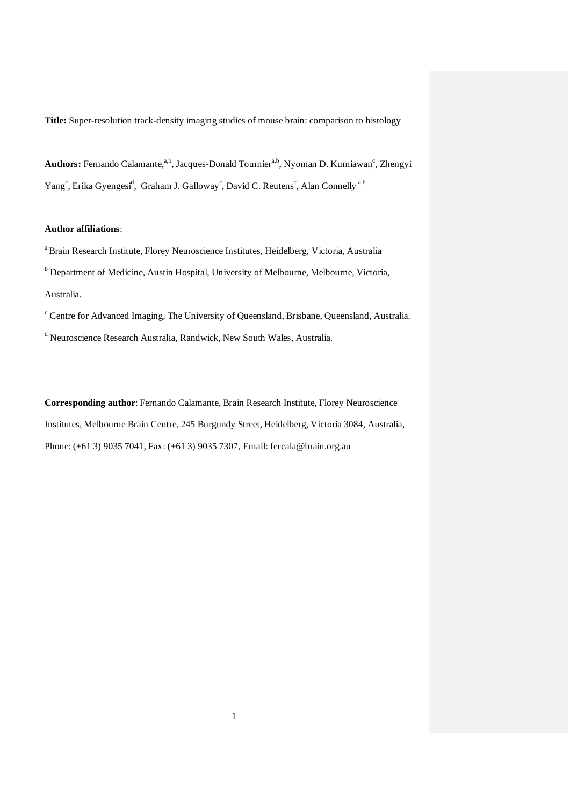**Title:** Super-resolution track-density imaging studies of mouse brain: comparison to histology

Authors: Fernando Calamante,<sup>a,b</sup>, Jacques-Donald Tournier<sup>a,b</sup>, Nyoman D. Kurniawan<sup>c</sup>, Zhengyi Yang<sup>c</sup>, Erika Gyengesi<sup>d</sup>, Graham J. Galloway<sup>c</sup>, David C. Reutens<sup>c</sup>, Alan Connelly<sup>a,b</sup>

# **Author affiliations**:

a Brain Research Institute, Florey Neuroscience Institutes, Heidelberg, Victoria, Australia <sup>b</sup> Department of Medicine, Austin Hospital, University of Melbourne, Melbourne, Victoria, Australia.

<sup>c</sup> Centre for Advanced Imaging, The University of Queensland, Brisbane, Queensland, Australia. <sup>d</sup> Neuroscience Research Australia, Randwick, New South Wales, Australia.

**Corresponding author**: Fernando Calamante, Brain Research Institute, Florey Neuroscience Institutes, Melbourne Brain Centre, 245 Burgundy Street, Heidelberg, Victoria 3084, Australia, Phone: (+61 3) 9035 7041, Fax: (+61 3) 9035 7307, Email: fercala@brain.org.au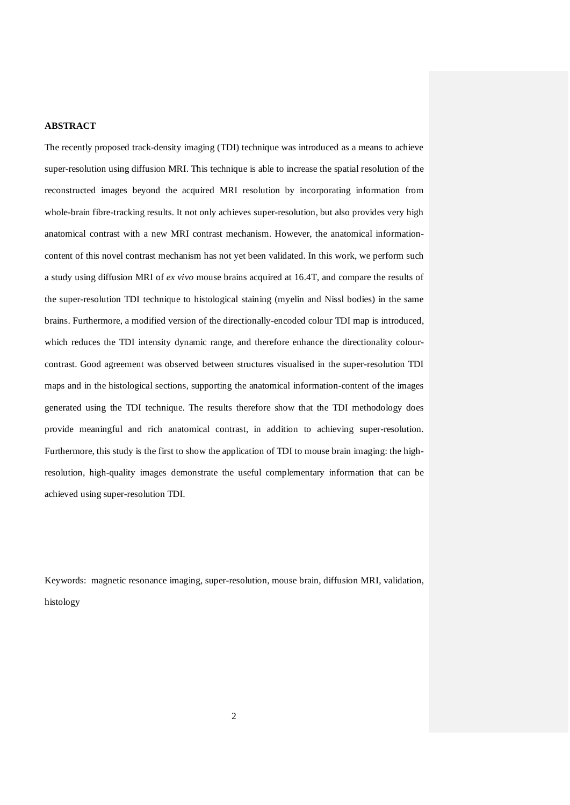#### **ABSTRACT**

The recently proposed track-density imaging (TDI) technique was introduced as a means to achieve super-resolution using diffusion MRI. This technique is able to increase the spatial resolution of the reconstructed images beyond the acquired MRI resolution by incorporating information from whole-brain fibre-tracking results. It not only achieves super-resolution, but also provides very high anatomical contrast with a new MRI contrast mechanism. However, the anatomical informationcontent of this novel contrast mechanism has not yet been validated. In this work, we perform such a study using diffusion MRI of *ex vivo* mouse brains acquired at 16.4T, and compare the results of the super-resolution TDI technique to histological staining (myelin and Nissl bodies) in the same brains. Furthermore, a modified version of the directionally-encoded colour TDI map is introduced, which reduces the TDI intensity dynamic range, and therefore enhance the directionality colourcontrast. Good agreement was observed between structures visualised in the super-resolution TDI maps and in the histological sections, supporting the anatomical information-content of the images generated using the TDI technique. The results therefore show that the TDI methodology does provide meaningful and rich anatomical contrast, in addition to achieving super-resolution. Furthermore, this study is the first to show the application of TDI to mouse brain imaging: the highresolution, high-quality images demonstrate the useful complementary information that can be achieved using super-resolution TDI.

Keywords: magnetic resonance imaging, super-resolution, mouse brain, diffusion MRI, validation, histology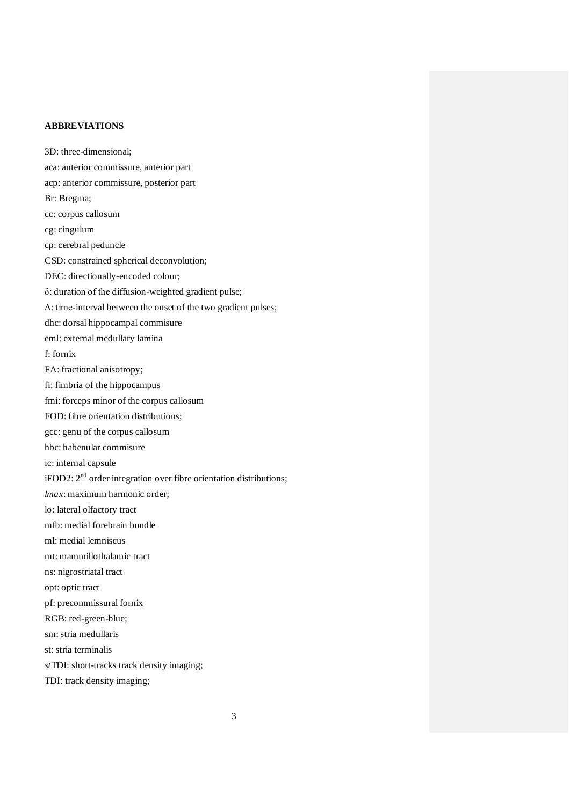## **ABBREVIATIONS**

3D: three-dimensional; aca: anterior commissure, anterior part acp: anterior commissure, posterior part Br: Bregma; cc: corpus callosum cg: cingulum cp: cerebral peduncle CSD: constrained spherical deconvolution; DEC: directionally-encoded colour; δ: duration of the diffusion-weighted gradient pulse; Δ: time-interval between the onset of the two gradient pulses; dhc: dorsal hippocampal commisure eml: external medullary lamina f: fornix FA: fractional anisotropy; fi: fimbria of the hippocampus fmi: forceps minor of the corpus callosum FOD: fibre orientation distributions; gcc: genu of the corpus callosum hbc: habenular commisure ic: internal capsule iFOD2: 2<sup>nd</sup> order integration over fibre orientation distributions; *lmax*: maximum harmonic order; lo: lateral olfactory tract mfb: medial forebrain bundle ml: medial lemniscus mt: mammillothalamic tract ns: nigrostriatal tract opt: optic tract pf: precommissural fornix RGB: red-green-blue; sm: stria medullaris st: stria terminalis *st*TDI: short-tracks track density imaging; TDI: track density imaging;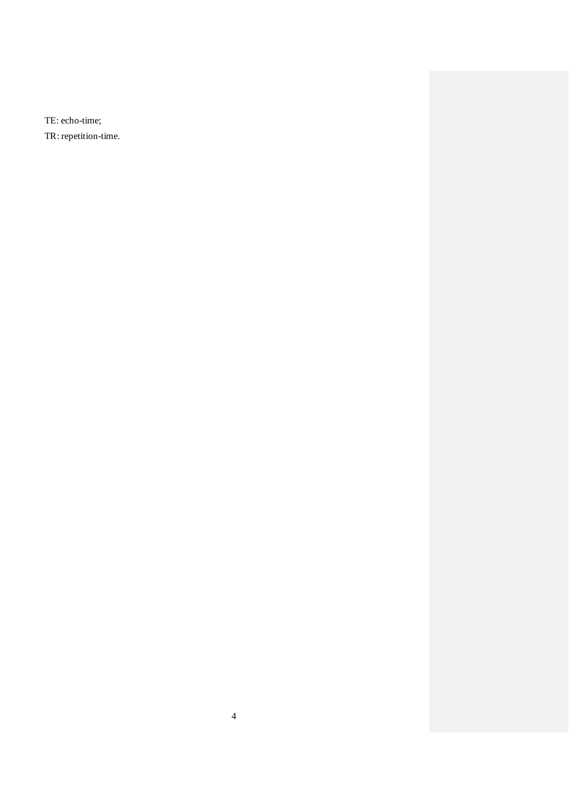TE: echo-time; TR: repetition-time.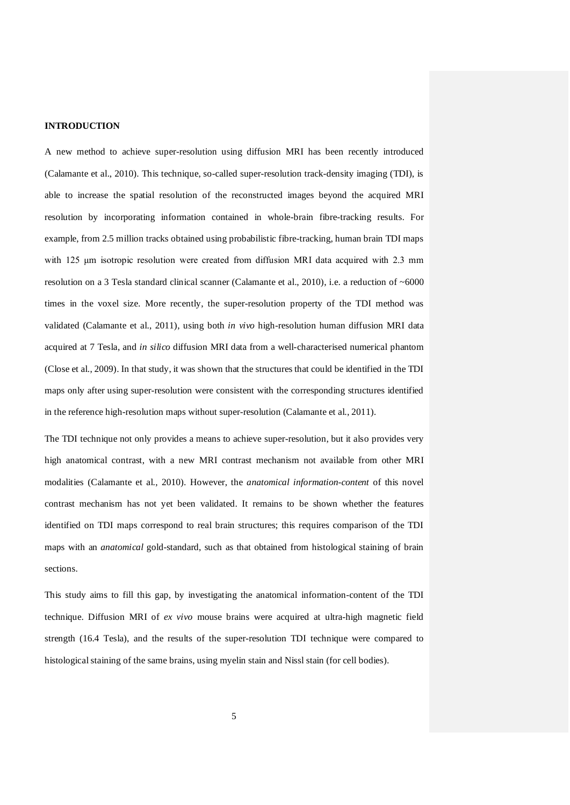#### **INTRODUCTION**

A new method to achieve super-resolution using diffusion MRI has been recently introduced (Calamante et al., 2010). This technique, so-called super-resolution track-density imaging (TDI), is able to increase the spatial resolution of the reconstructed images beyond the acquired MRI resolution by incorporating information contained in whole-brain fibre-tracking results. For example, from 2.5 million tracks obtained using probabilistic fibre-tracking, human brain TDI maps with 125 μm isotropic resolution were created from diffusion MRI data acquired with 2.3 mm resolution on a 3 Tesla standard clinical scanner (Calamante et al., 2010), i.e. a reduction of ~6000 times in the voxel size. More recently, the super-resolution property of the TDI method was validated (Calamante et al., 2011), using both *in vivo* high-resolution human diffusion MRI data acquired at 7 Tesla, and *in silico* diffusion MRI data from a well-characterised numerical phantom (Close et al., 2009). In that study, it was shown that the structures that could be identified in the TDI maps only after using super-resolution were consistent with the corresponding structures identified in the reference high-resolution maps without super-resolution (Calamante et al., 2011).

The TDI technique not only provides a means to achieve super-resolution, but it also provides very high anatomical contrast, with a new MRI contrast mechanism not available from other MRI modalities (Calamante et al., 2010). However, the *anatomical information-content* of this novel contrast mechanism has not yet been validated. It remains to be shown whether the features identified on TDI maps correspond to real brain structures; this requires comparison of the TDI maps with an *anatomical* gold-standard, such as that obtained from histological staining of brain sections.

This study aims to fill this gap, by investigating the anatomical information-content of the TDI technique. Diffusion MRI of *ex vivo* mouse brains were acquired at ultra-high magnetic field strength (16.4 Tesla), and the results of the super-resolution TDI technique were compared to histological staining of the same brains, using myelin stain and Nissl stain (for cell bodies).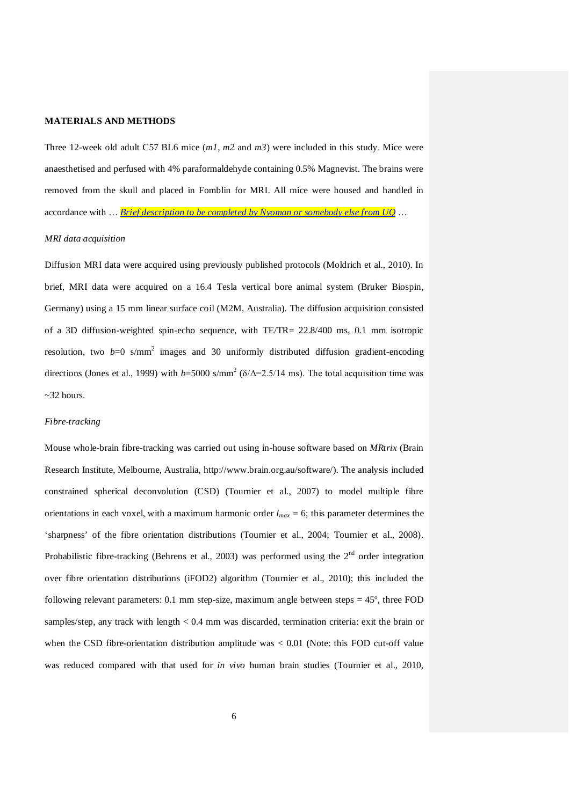### **MATERIALS AND METHODS**

Three 12-week old adult C57 BL6 mice (*m1*, *m2* and *m3*) were included in this study. Mice were anaesthetised and perfused with 4% paraformaldehyde containing 0.5% Magnevist. The brains were removed from the skull and placed in Fomblin for MRI. All mice were housed and handled in accordance with … *Brief description to be completed by Nyoman or somebody else from UQ* …

## *MRI data acquisition*

Diffusion MRI data were acquired using previously published protocols (Moldrich et al., 2010). In brief, MRI data were acquired on a 16.4 Tesla vertical bore animal system (Bruker Biospin, Germany) using a 15 mm linear surface coil (M2M, Australia). The diffusion acquisition consisted of a 3D diffusion-weighted spin-echo sequence, with TE/TR= 22.8/400 ms, 0.1 mm isotropic resolution, two  $b=0$  s/mm<sup>2</sup> images and 30 uniformly distributed diffusion gradient-encoding directions (Jones et al., 1999) with  $b=5000$  s/mm<sup>2</sup> ( $\delta/\Delta=2.5/14$  ms). The total acquisition time was  $\sim$ 32 hours.

#### *Fibre-tracking*

Mouse whole-brain fibre-tracking was carried out using in-house software based on *MRtrix* (Brain Research Institute, Melbourne, Australia, [http://www.brain.org.au/software/\)](http://www.brain.org.au/software/). The analysis included constrained spherical deconvolution (CSD) (Tournier et al., 2007) to model multiple fibre orientations in each voxel, with a maximum harmonic order  $l_{max} = 6$ ; this parameter determines the 'sharpness' of the fibre orientation distributions (Tournier et al., 2004; Tournier et al., 2008). Probabilistic fibre-tracking (Behrens et al., 2003) was performed using the  $2<sup>nd</sup>$  order integration over fibre orientation distributions (iFOD2) algorithm (Tournier et al., 2010); this included the following relevant parameters:  $0.1 \text{ mm}$  step-size, maximum angle between steps =  $45^\circ$ , three FOD samples/step, any track with length < 0.4 mm was discarded, termination criteria: exit the brain or when the CSD fibre-orientation distribution amplitude was < 0.01 (Note: this FOD cut-off value was reduced compared with that used for *in vivo* human brain studies (Tournier et al., 2010,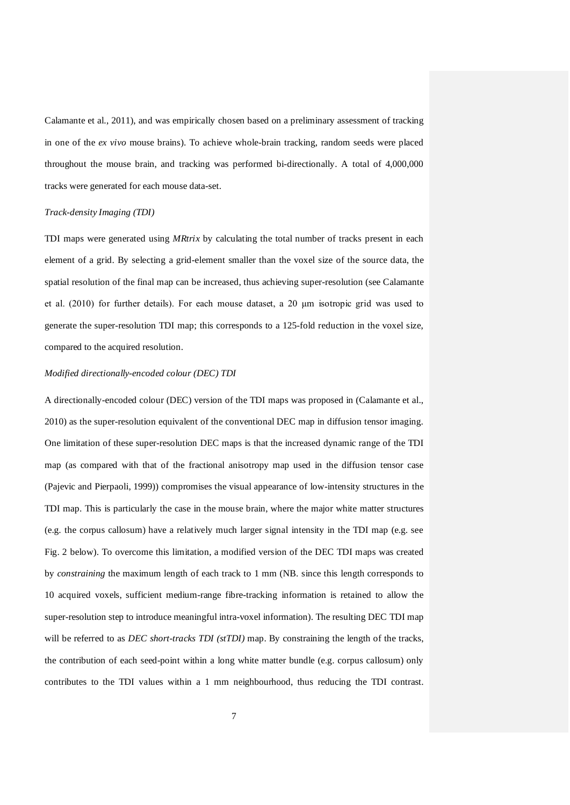Calamante et al., 2011), and was empirically chosen based on a preliminary assessment of tracking in one of the *ex vivo* mouse brains). To achieve whole-brain tracking, random seeds were placed throughout the mouse brain, and tracking was performed bi-directionally. A total of 4,000,000 tracks were generated for each mouse data-set.

#### *Track-density Imaging (TDI)*

TDI maps were generated using *MRtrix* by calculating the total number of tracks present in each element of a grid. By selecting a grid-element smaller than the voxel size of the source data, the spatial resolution of the final map can be increased, thus achieving super-resolution (see Calamante et al. (2010) for further details). For each mouse dataset, a 20 μm isotropic grid was used to generate the super-resolution TDI map; this corresponds to a 125-fold reduction in the voxel size, compared to the acquired resolution.

## *Modified directionally-encoded colour (DEC) TDI*

A directionally-encoded colour (DEC) version of the TDI maps was proposed in (Calamante et al., 2010) as the super-resolution equivalent of the conventional DEC map in diffusion tensor imaging. One limitation of these super-resolution DEC maps is that the increased dynamic range of the TDI map (as compared with that of the fractional anisotropy map used in the diffusion tensor case (Pajevic and Pierpaoli, 1999)) compromises the visual appearance of low-intensity structures in the TDI map. This is particularly the case in the mouse brain, where the major white matter structures (e.g. the corpus callosum) have a relatively much larger signal intensity in the TDI map (e.g. see Fig. 2 below). To overcome this limitation, a modified version of the DEC TDI maps was created by *constraining* the maximum length of each track to 1 mm (NB. since this length corresponds to 10 acquired voxels, sufficient medium-range fibre-tracking information is retained to allow the super-resolution step to introduce meaningful intra-voxel information). The resulting DEC TDI map will be referred to as *DEC short-tracks TDI* (*stTDI*) map. By constraining the length of the tracks, the contribution of each seed-point within a long white matter bundle (e.g. corpus callosum) only contributes to the TDI values within a 1 mm neighbourhood, thus reducing the TDI contrast.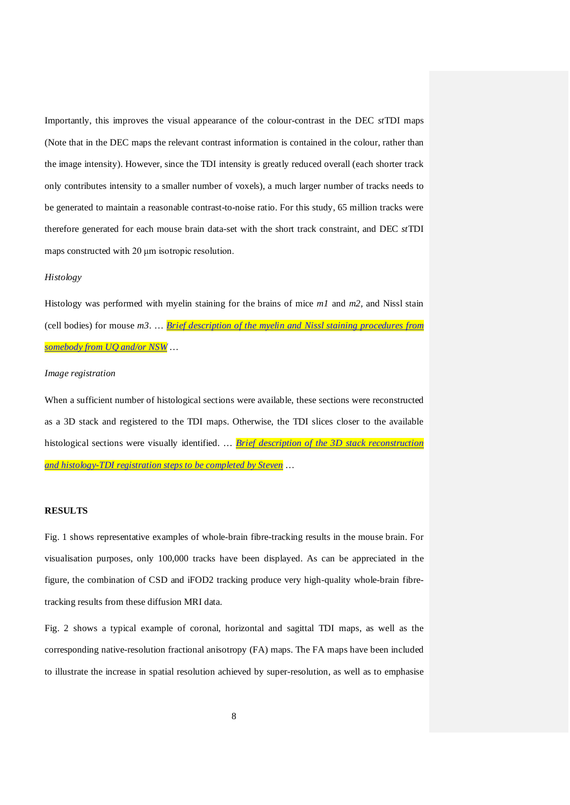Importantly, this improves the visual appearance of the colour-contrast in the DEC *st*TDI maps (Note that in the DEC maps the relevant contrast information is contained in the colour, rather than the image intensity). However, since the TDI intensity is greatly reduced overall (each shorter track only contributes intensity to a smaller number of voxels), a much larger number of tracks needs to be generated to maintain a reasonable contrast-to-noise ratio. For this study, 65 million tracks were therefore generated for each mouse brain data-set with the short track constraint, and DEC *st*TDI maps constructed with 20 μm isotropic resolution.

## *Histology*

Histology was performed with myelin staining for the brains of mice *m1* and *m2,* and Nissl stain (cell bodies) for mouse *m3*. … *Brief description of the myelin and Nissl staining procedures from somebody from UQ and/or NSW*…

# *Image registration*

When a sufficient number of histological sections were available, these sections were reconstructed as a 3D stack and registered to the TDI maps. Otherwise, the TDI slices closer to the available histological sections were visually identified. … *Brief description of the 3D stack reconstruction and histology-TDI registration steps to be completed by Steven* …

## **RESULTS**

Fig. 1 shows representative examples of whole-brain fibre-tracking results in the mouse brain. For visualisation purposes, only 100,000 tracks have been displayed. As can be appreciated in the figure, the combination of CSD and iFOD2 tracking produce very high-quality whole-brain fibretracking results from these diffusion MRI data.

Fig. 2 shows a typical example of coronal, horizontal and sagittal TDI maps, as well as the corresponding native-resolution fractional anisotropy (FA) maps. The FA maps have been included to illustrate the increase in spatial resolution achieved by super-resolution, as well as to emphasise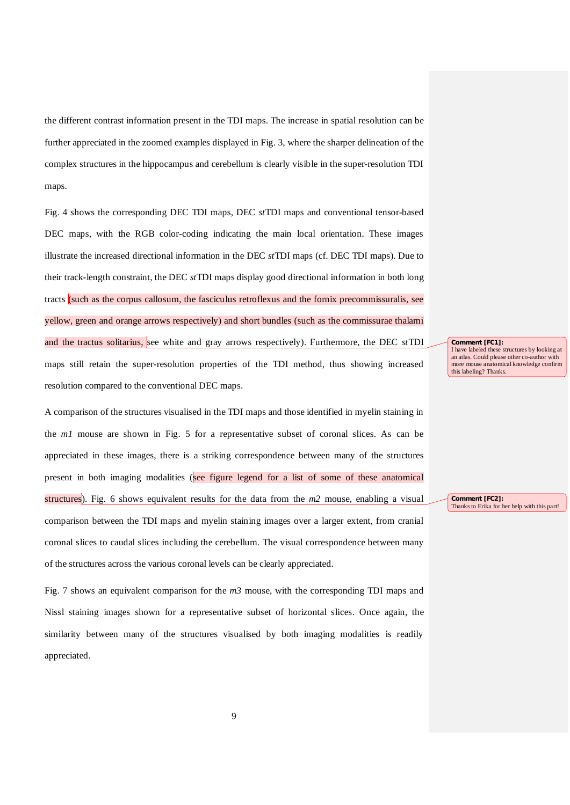the different contrast information present in the TDI maps. The increase in spatial resolution can be further appreciated in the zoomed examples displayed in Fig. 3, where the sharper delineation of the complex structures in the hippocampus and cerebellum is clearly visible in the super-resolution TDI maps.

Fig. 4 shows the corresponding DEC TDI maps, DEC *st*TDI maps and conventional tensor-based DEC maps, with the RGB color-coding indicating the main local orientation. These images illustrate the increased directional information in the DEC *st*TDI maps (cf. DEC TDI maps). Due to their track-length constraint, the DEC *st*TDI maps display good directional information in both long tracts (such as the corpus callosum, the fasciculus retroflexus and the fornix precommissuralis, see yellow, green and orange arrows respectively) and short bundles (such as the commissurae thalami and the tractus solitarius, see white and gray arrows respectively). Furthermore, the DEC *st*TDI maps still retain the super-resolution properties of the TDI method, thus showing increased resolution compared to the conventional DEC maps.

A comparison of the structures visualised in the TDI maps and those identified in myelin staining in the *m1* mouse are shown in Fig. 5 for a representative subset of coronal slices. As can be appreciated in these images, there is a striking correspondence between many of the structures present in both imaging modalities (see figure legend for a list of some of these anatomical structures). Fig. 6 shows equivalent results for the data from the *m2* mouse, enabling a visual comparison between the TDI maps and myelin staining images over a larger extent, from cranial coronal slices to caudal slices including the cerebellum. The visual correspondence between many of the structures across the various coronal levels can be clearly appreciated.

Fig. 7 shows an equivalent comparison for the *m3* mouse, with the corresponding TDI maps and Nissl staining images shown for a representative subset of horizontal slices. Once again, the similarity between many of the structures visualised by both imaging modalities is readily appreciated.

**Comment [FC1]:**  I have labeled these structures by looking at an atlas. Could please other co-author with more mouse anatomical knowledge confirm this labeling? Thanks.

**Comment [FC2]:**  Thanks to Erika for her help with this part!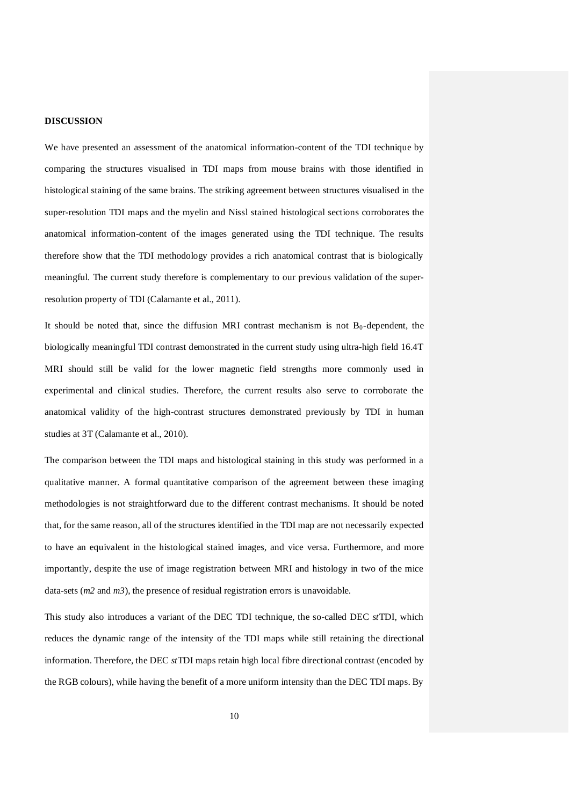### **DISCUSSION**

We have presented an assessment of the anatomical information-content of the TDI technique by comparing the structures visualised in TDI maps from mouse brains with those identified in histological staining of the same brains. The striking agreement between structures visualised in the super-resolution TDI maps and the myelin and Nissl stained histological sections corroborates the anatomical information-content of the images generated using the TDI technique. The results therefore show that the TDI methodology provides a rich anatomical contrast that is biologically meaningful. The current study therefore is complementary to our previous validation of the superresolution property of TDI (Calamante et al., 2011).

It should be noted that, since the diffusion MRI contrast mechanism is not  $B_0$ -dependent, the biologically meaningful TDI contrast demonstrated in the current study using ultra-high field 16.4T MRI should still be valid for the lower magnetic field strengths more commonly used in experimental and clinical studies. Therefore, the current results also serve to corroborate the anatomical validity of the high-contrast structures demonstrated previously by TDI in human studies at 3T (Calamante et al., 2010).

The comparison between the TDI maps and histological staining in this study was performed in a qualitative manner. A formal quantitative comparison of the agreement between these imaging methodologies is not straightforward due to the different contrast mechanisms. It should be noted that, for the same reason, all of the structures identified in the TDI map are not necessarily expected to have an equivalent in the histological stained images, and vice versa. Furthermore, and more importantly, despite the use of image registration between MRI and histology in two of the mice data-sets (*m*2 and *m3*), the presence of residual registration errors is unavoidable.

This study also introduces a variant of the DEC TDI technique, the so-called DEC *st*TDI, which reduces the dynamic range of the intensity of the TDI maps while still retaining the directional information. Therefore, the DEC *st*TDI maps retain high local fibre directional contrast (encoded by the RGB colours), while having the benefit of a more uniform intensity than the DEC TDI maps. By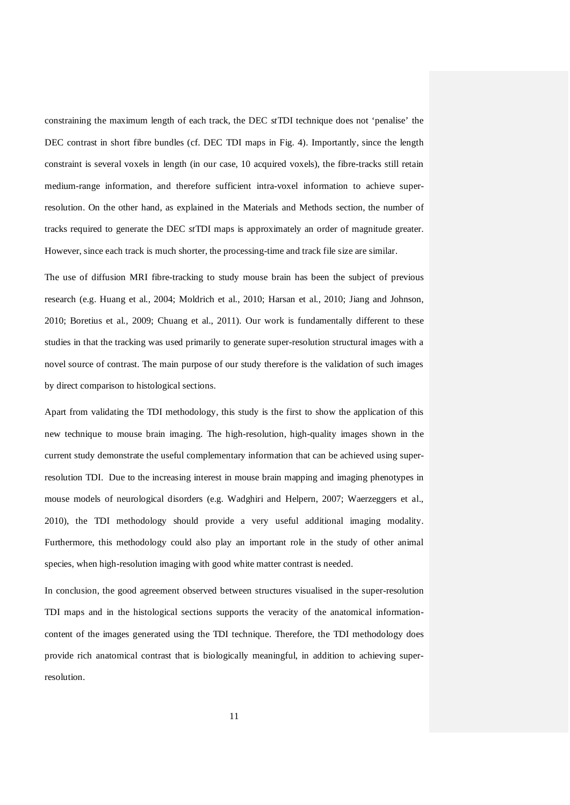constraining the maximum length of each track, the DEC *st*TDI technique does not 'penalise' the DEC contrast in short fibre bundles (cf. DEC TDI maps in Fig. 4). Importantly, since the length constraint is several voxels in length (in our case, 10 acquired voxels), the fibre-tracks still retain medium-range information, and therefore sufficient intra-voxel information to achieve superresolution. On the other hand, as explained in the Materials and Methods section, the number of tracks required to generate the DEC *st*TDI maps is approximately an order of magnitude greater. However, since each track is much shorter, the processing-time and track file size are similar.

The use of diffusion MRI fibre-tracking to study mouse brain has been the subject of previous research (e.g. Huang et al., 2004; Moldrich et al., 2010; Harsan et al., 2010; Jiang and Johnson, 2010; Boretius et al., 2009; Chuang et al., 2011). Our work is fundamentally different to these studies in that the tracking was used primarily to generate super-resolution structural images with a novel source of contrast. The main purpose of our study therefore is the validation of such images by direct comparison to histological sections.

Apart from validating the TDI methodology, this study is the first to show the application of this new technique to mouse brain imaging. The high-resolution, high-quality images shown in the current study demonstrate the useful complementary information that can be achieved using superresolution TDI. Due to the increasing interest in mouse brain mapping and imaging phenotypes in mouse models of neurological disorders (e.g. Wadghiri and Helpern, 2007; Waerzeggers et al., 2010), the TDI methodology should provide a very useful additional imaging modality. Furthermore, this methodology could also play an important role in the study of other animal species, when high-resolution imaging with good white matter contrast is needed.

In conclusion, the good agreement observed between structures visualised in the super-resolution TDI maps and in the histological sections supports the veracity of the anatomical informationcontent of the images generated using the TDI technique. Therefore, the TDI methodology does provide rich anatomical contrast that is biologically meaningful, in addition to achieving superresolution.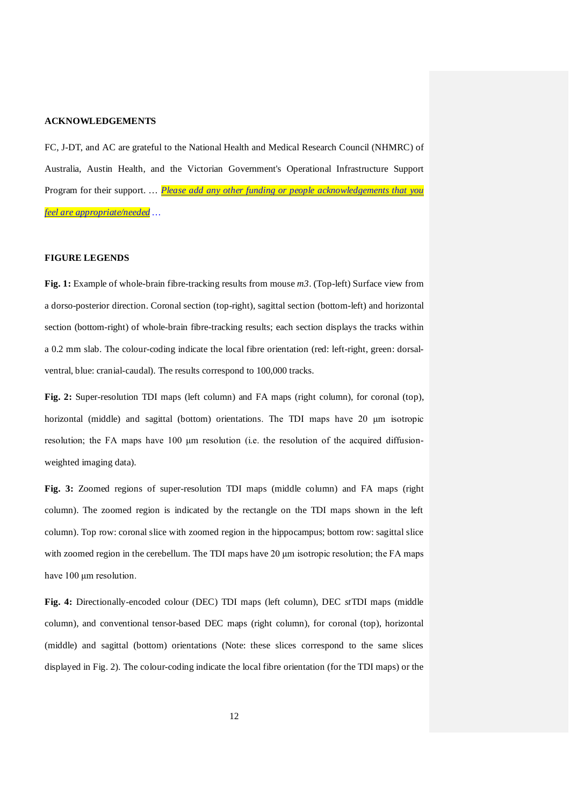### **ACKNOWLEDGEMENTS**

FC, J-DT, and AC are grateful to the National Health and Medical Research Council (NHMRC) of Australia, Austin Health, and the Victorian Government's Operational Infrastructure Support Program for their support. … *Please add any other funding or people acknowledgements that you feel are appropriate/needed …*

## **FIGURE LEGENDS**

**Fig. 1:** Example of whole-brain fibre-tracking results from mouse *m3*. (Top-left) Surface view from a dorso-posterior direction. Coronal section (top-right), sagittal section (bottom-left) and horizontal section (bottom-right) of whole-brain fibre-tracking results; each section displays the tracks within a 0.2 mm slab. The colour-coding indicate the local fibre orientation (red: left-right, green: dorsalventral, blue: cranial-caudal). The results correspond to 100,000 tracks.

**Fig. 2:** Super-resolution TDI maps (left column) and FA maps (right column), for coronal (top), horizontal (middle) and sagittal (bottom) orientations. The TDI maps have 20  $\mu$ m isotropic resolution; the FA maps have 100 μm resolution (i.e. the resolution of the acquired diffusionweighted imaging data).

**Fig. 3:** Zoomed regions of super-resolution TDI maps (middle column) and FA maps (right column). The zoomed region is indicated by the rectangle on the TDI maps shown in the left column). Top row: coronal slice with zoomed region in the hippocampus; bottom row: sagittal slice with zoomed region in the cerebellum. The TDI maps have 20 μm isotropic resolution; the FA maps have 100 μm resolution.

**Fig. 4:** Directionally-encoded colour (DEC) TDI maps (left column), DEC *st*TDI maps (middle column), and conventional tensor-based DEC maps (right column), for coronal (top), horizontal (middle) and sagittal (bottom) orientations (Note: these slices correspond to the same slices displayed in Fig. 2). The colour-coding indicate the local fibre orientation (for the TDI maps) or the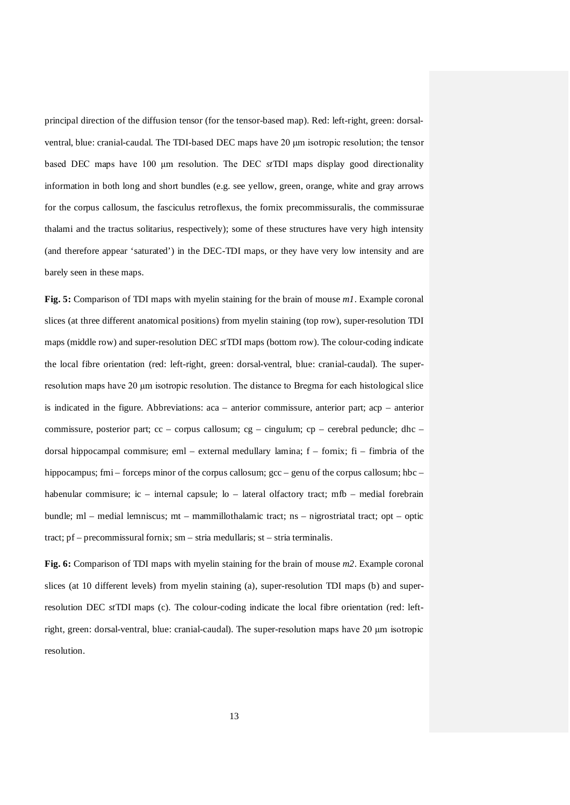principal direction of the diffusion tensor (for the tensor-based map). Red: left-right, green: dorsalventral, blue: cranial-caudal. The TDI-based DEC maps have 20 μm isotropic resolution; the tensor based DEC maps have 100 μm resolution. The DEC *st*TDI maps display good directionality information in both long and short bundles (e.g. see yellow, green, orange, white and gray arrows for the corpus callosum, the fasciculus retroflexus, the fornix precommissuralis, the commissurae thalami and the tractus solitarius, respectively); some of these structures have very high intensity (and therefore appear 'saturated') in the DEC-TDI maps, or they have very low intensity and are barely seen in these maps.

**Fig. 5:** Comparison of TDI maps with myelin staining for the brain of mouse *m1*. Example coronal slices (at three different anatomical positions) from myelin staining (top row), super-resolution TDI maps (middle row) and super-resolution DEC *st*TDI maps (bottom row). The colour-coding indicate the local fibre orientation (red: left-right, green: dorsal-ventral, blue: cranial-caudal). The superresolution maps have 20 μm isotropic resolution. The distance to Bregma for each histological slice is indicated in the figure. Abbreviations: aca – anterior commissure, anterior part; acp – anterior commissure, posterior part; cc – corpus callosum; cg – cingulum; cp – cerebral peduncle; dhc – dorsal hippocampal commisure; eml – external medullary lamina;  $f - f$ omix;  $fi - f$ imbria of the hippocampus; fmi – forceps minor of the corpus callosum; gcc – genu of the corpus callosum; hbc – habenular commisure; ic – internal capsule; lo – lateral olfactory tract; mfb – medial forebrain bundle; ml – medial lemniscus; mt – mammillothalamic tract; ns – nigrostriatal tract; opt – optic tract; pf – precommissural fornix; sm – stria medullaris; st – stria terminalis.

**Fig. 6:** Comparison of TDI maps with myelin staining for the brain of mouse *m2*. Example coronal slices (at 10 different levels) from myelin staining (a), super-resolution TDI maps (b) and superresolution DEC *st*TDI maps (c). The colour-coding indicate the local fibre orientation (red: leftright, green: dorsal-ventral, blue: cranial-caudal). The super-resolution maps have 20 μm isotropic resolution.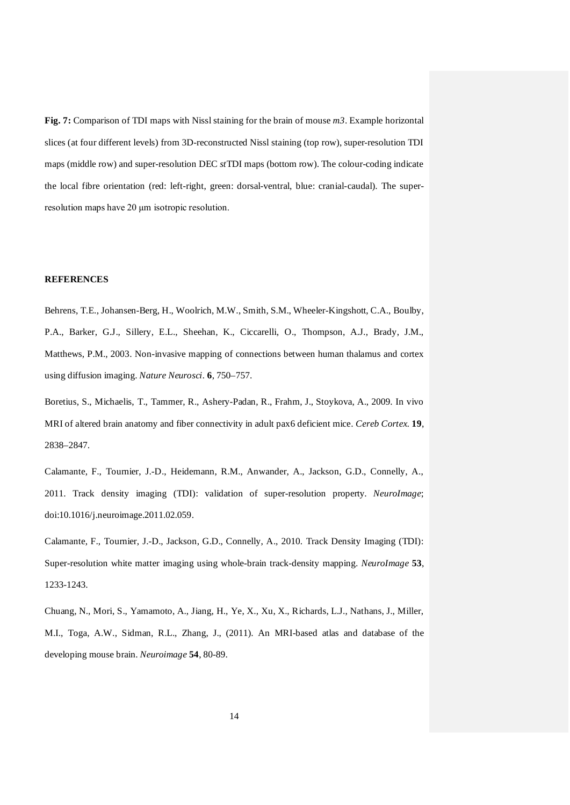**Fig. 7:** Comparison of TDI maps with Nissl staining for the brain of mouse *m3*. Example horizontal slices (at four different levels) from 3D-reconstructed Nissl staining (top row), super-resolution TDI maps (middle row) and super-resolution DEC *st*TDI maps (bottom row). The colour-coding indicate the local fibre orientation (red: left-right, green: dorsal-ventral, blue: cranial-caudal). The superresolution maps have 20 μm isotropic resolution.

## **REFERENCES**

Behrens, T.E., Johansen-Berg, H., Woolrich, M.W., Smith, S.M., Wheeler-Kingshott, C.A., Boulby, P.A., Barker, G.J., Sillery, E.L., Sheehan, K., Ciccarelli, O., Thompson, A.J., Brady, J.M., Matthews, P.M., 2003. Non-invasive mapping of connections between human thalamus and cortex using diffusion imaging. *Nature Neurosci.* **6**, 750–757.

Boretius, S., Michaelis, T., Tammer, R., Ashery-Padan, R., Frahm, J., Stoykova, A., 2009. In vivo MRI of altered brain anatomy and fiber connectivity in adult pax6 deficient mice. *Cereb Cortex.* **19**, 2838–2847.

Calamante, F., Tournier, J.-D., Heidemann, R.M., Anwander, A., Jackson, G.D., Connelly, A., 2011. Track density imaging (TDI): validation of super-resolution property. *NeuroImage*; doi:10.1016/j.neuroimage.2011.02.059.

Calamante, F., Tournier, J.-D., Jackson, G.D., Connelly, A., 2010. Track Density Imaging (TDI): Super-resolution white matter imaging using whole-brain track-density mapping. *NeuroImage* **53**, 1233-1243.

Chuang, N., Mori, S., Yamamoto, A., Jiang, H., Ye, X., Xu, X., Richards, L.J., Nathans, J., Miller, M.I., Toga, A.W., Sidman, R.L., Zhang, J., (2011). An MRI-based atlas and database of the developing mouse brain. *Neuroimage* **54**, 80-89.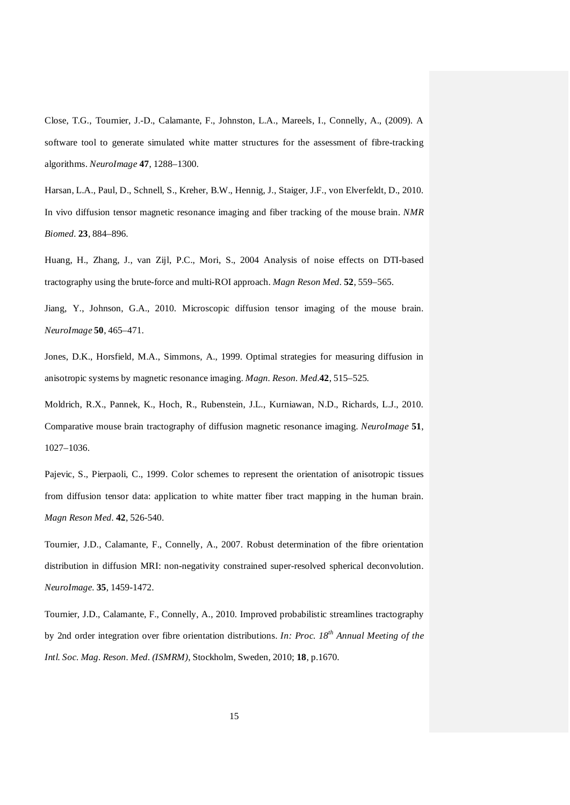Close, T.G., Tournier, J.-D., Calamante, F., Johnston, L.A., Mareels, I., Connelly, A., (2009). A software tool to generate simulated white matter structures for the assessment of fibre-tracking algorithms. *NeuroImage* **47**, 1288–1300.

Harsan, L.A., Paul, D., Schnell, S., Kreher, B.W., Hennig, J., Staiger, J.F., von Elverfeldt, D., 2010. In vivo diffusion tensor magnetic resonance imaging and fiber tracking of the mouse brain. *NMR Biomed.* **23**, 884–896.

Huang, H., Zhang, J., van Zijl, P.C., Mori, S., 2004 Analysis of noise effects on DTI-based tractography using the brute-force and multi-ROI approach. *Magn Reson Med.* **52**, 559–565.

Jiang, Y., Johnson, G.A., 2010. Microscopic diffusion tensor imaging of the mouse brain. *NeuroImage* **50**, 465–471.

Jones, D.K., Horsfield, M.A., Simmons, A., 1999. Optimal strategies for measuring diffusion in anisotropic systems by magnetic resonance imaging. *Magn. Reson. Med.***42**, 515–525.

Moldrich, R.X., Pannek, K., Hoch, R., Rubenstein, J.L., Kurniawan, N.D., Richards, L.J., 2010. Comparative mouse brain tractography of diffusion magnetic resonance imaging. *NeuroImage* **51**, 1027–1036.

Pajevic, S., Pierpaoli, C., 1999. Color schemes to represent the orientation of anisotropic tissues from diffusion tensor data: application to white matter fiber tract mapping in the human brain. *Magn Reson Med.* **42**, 526-540.

Tournier, J.D., Calamante, F., Connelly, A., 2007. Robust determination of the fibre orientation distribution in diffusion MRI: non-negativity constrained super-resolved spherical deconvolution. *NeuroImage.* **35**, 1459-1472.

Tournier, J.D., Calamante, F., Connelly, A., 2010. Improved probabilistic streamlines tractography by 2nd order integration over fibre orientation distributions. *In: Proc. 18th Annual Meeting of the Intl. Soc. Mag. Reson. Med. (ISMRM)*, Stockholm, Sweden, 2010; **18**, p.1670.